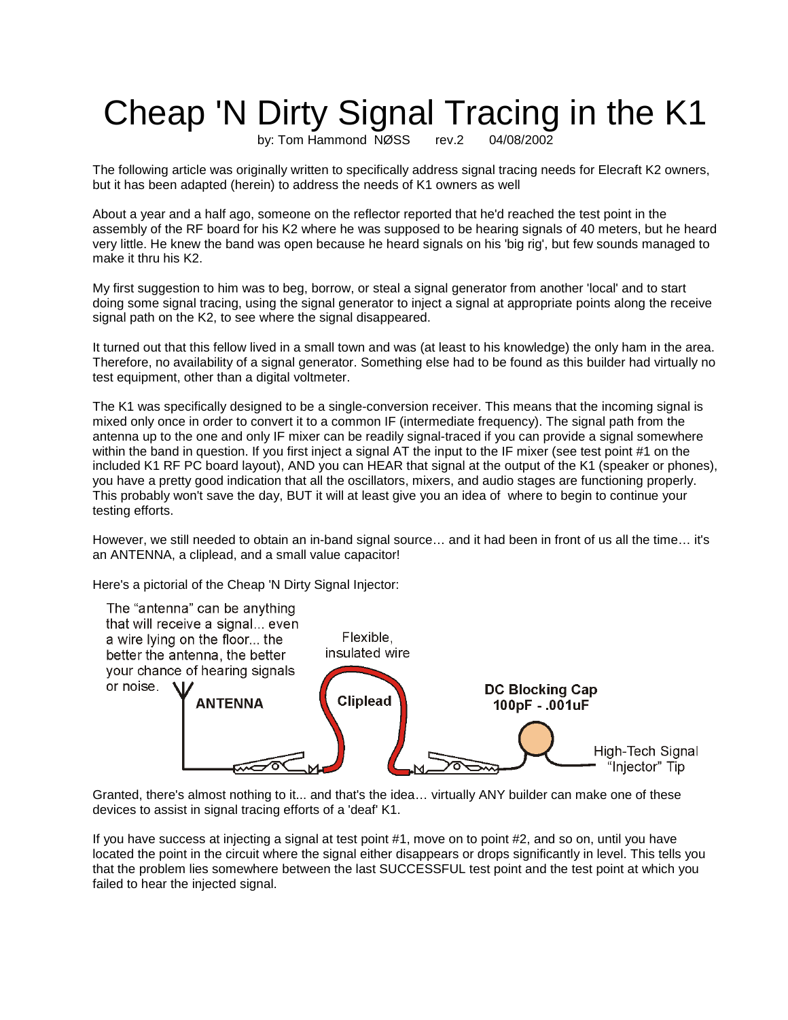## Cheap 'N Dirty Signal Tracing in the K1

by: Tom Hammond NØSS rev.2 04/08/2002

The following article was originally written to specifically address signal tracing needs for Elecraft K2 owners, but it has been adapted (herein) to address the needs of K1 owners as well

About a year and a half ago, someone on the reflector reported that he'd reached the test point in the assembly of the RF board for his K2 where he was supposed to be hearing signals of 40 meters, but he heard very little. He knew the band was open because he heard signals on his 'big rig', but few sounds managed to make it thru his K2.

My first suggestion to him was to beg, borrow, or steal a signal generator from another 'local' and to start doing some signal tracing, using the signal generator to inject a signal at appropriate points along the receive signal path on the K2, to see where the signal disappeared.

It turned out that this fellow lived in a small town and was (at least to his knowledge) the only ham in the area. Therefore, no availability of a signal generator. Something else had to be found as this builder had virtually no test equipment, other than a digital voltmeter.

The K1 was specifically designed to be a single-conversion receiver. This means that the incoming signal is mixed only once in order to convert it to a common IF (intermediate frequency). The signal path from the antenna up to the one and only IF mixer can be readily signal-traced if you can provide a signal somewhere within the band in question. If you first inject a signal AT the input to the IF mixer (see test point #1 on the included K1 RF PC board layout), AND you can HEAR that signal at the output of the K1 (speaker or phones), you have a pretty good indication that all the oscillators, mixers, and audio stages are functioning properly. This probably won't save the day, BUT it will at least give you an idea of where to begin to continue your testing efforts.

However, we still needed to obtain an in-band signal source… and it had been in front of us all the time… it's an ANTENNA, a cliplead, and a small value capacitor!

Here's a pictorial of the Cheap 'N Dirty Signal Injector:



Granted, there's almost nothing to it... and that's the idea… virtually ANY builder can make one of these devices to assist in signal tracing efforts of a 'deaf' K1.

If you have success at injecting a signal at test point #1, move on to point #2, and so on, until you have located the point in the circuit where the signal either disappears or drops significantly in level. This tells you that the problem lies somewhere between the last SUCCESSFUL test point and the test point at which you failed to hear the injected signal.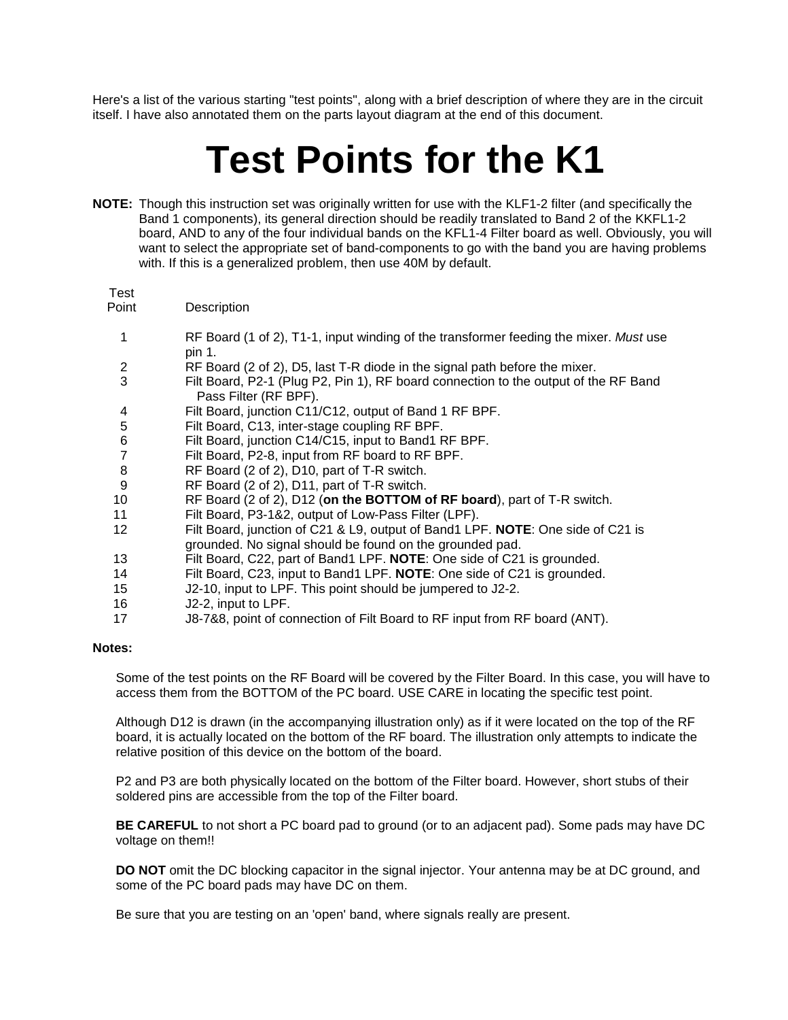Here's a list of the various starting "test points", along with a brief description of where they are in the circuit itself. I have also annotated them on the parts layout diagram at the end of this document.

# **Test Points for the K1**

**NOTE:** Though this instruction set was originally written for use with the KLF1-2 filter (and specifically the Band 1 components), its general direction should be readily translated to Band 2 of the KKFL1-2 board, AND to any of the four individual bands on the KFL1-4 Filter board as well. Obviously, you will want to select the appropriate set of band-components to go with the band you are having problems with. If this is a generalized problem, then use 40M by default.

#### Test

Point Description

- 1 RF Board (1 of 2), T1-1, input winding of the transformer feeding the mixer. *Must* use pin 1.
- 2 RF Board (2 of 2), D5, last T-R diode in the signal path before the mixer.
- 3 Filt Board, P2-1 (Plug P2, Pin 1), RF board connection to the output of the RF Band Pass Filter (RF BPF).
- 4 Filt Board, junction C11/C12, output of Band 1 RF BPF.
- 5 Filt Board, C13, inter-stage coupling RF BPF.
- 6 Filt Board, junction C14/C15, input to Band1 RF BPF.
- Filt Board, P2-8, input from RF board to RF BPF.
- 8 RF Board (2 of 2), D10, part of T-R switch.
- 9 RF Board (2 of 2), D11, part of T-R switch.
- 10 RF Board (2 of 2), D12 (**on the BOTTOM of RF board**), part of T-R switch.
- 11 Filt Board, P3-1&2, output of Low-Pass Filter (LPF).
- 12 Filt Board, junction of C21 & L9, output of Band1 LPF. **NOTE**: One side of C21 is grounded. No signal should be found on the grounded pad.
- 13 Filt Board, C22, part of Band1 LPF. **NOTE**: One side of C21 is grounded.
- 14 Filt Board, C23, input to Band1 LPF. **NOTE**: One side of C21 is grounded.
- 15 J2-10, input to LPF. This point should be jumpered to J2-2.
- 16 J2-2, input to LPF.
- 17 J8-7&8, point of connection of Filt Board to RF input from RF board (ANT).

#### **Notes:**

Some of the test points on the RF Board will be covered by the Filter Board. In this case, you will have to access them from the BOTTOM of the PC board. USE CARE in locating the specific test point.

Although D12 is drawn (in the accompanying illustration only) as if it were located on the top of the RF board, it is actually located on the bottom of the RF board. The illustration only attempts to indicate the relative position of this device on the bottom of the board.

P2 and P3 are both physically located on the bottom of the Filter board. However, short stubs of their soldered pins are accessible from the top of the Filter board.

**BE CAREFUL** to not short a PC board pad to ground (or to an adjacent pad). Some pads may have DC voltage on them!!

**DO NOT** omit the DC blocking capacitor in the signal injector. Your antenna may be at DC ground, and some of the PC board pads may have DC on them.

Be sure that you are testing on an 'open' band, where signals really are present.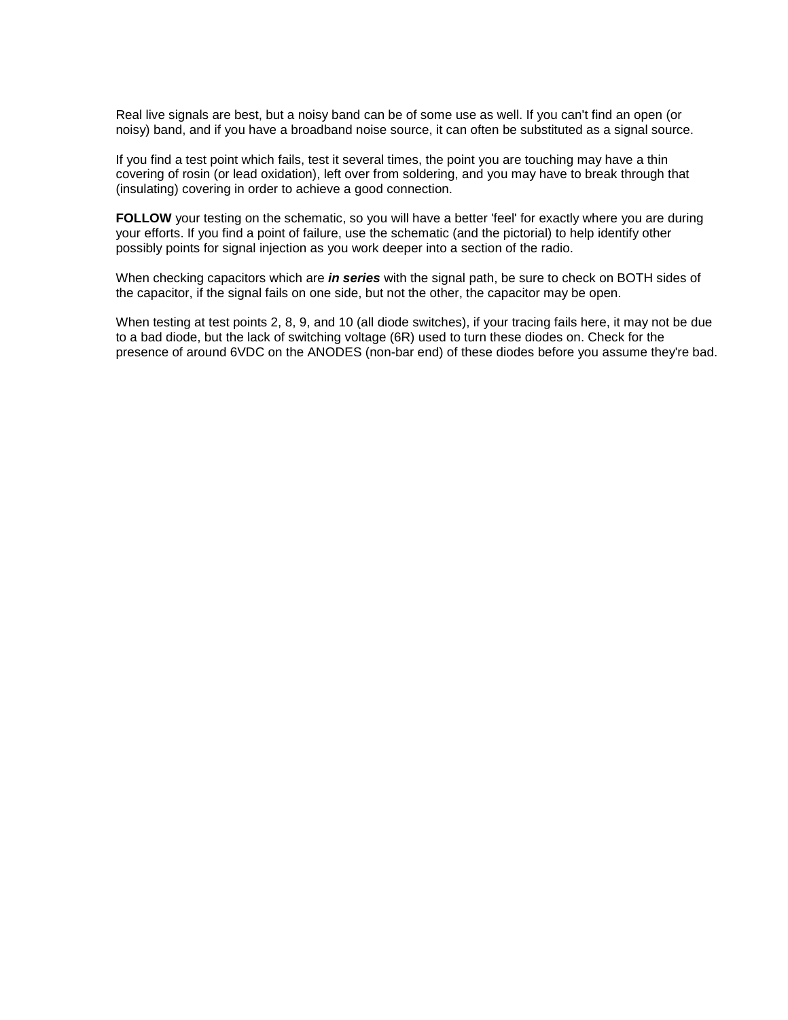Real live signals are best, but a noisy band can be of some use as well. If you can't find an open (or noisy) band, and if you have a broadband noise source, it can often be substituted as a signal source.

If you find a test point which fails, test it several times, the point you are touching may have a thin covering of rosin (or lead oxidation), left over from soldering, and you may have to break through that (insulating) covering in order to achieve a good connection.

FOLLOW your testing on the schematic, so you will have a better 'feel' for exactly where you are during your efforts. If you find a point of failure, use the schematic (and the pictorial) to help identify other possibly points for signal injection as you work deeper into a section of the radio.

When checking capacitors which are *in series* with the signal path, be sure to check on BOTH sides of the capacitor, if the signal fails on one side, but not the other, the capacitor may be open.

When testing at test points 2, 8, 9, and 10 (all diode switches), if your tracing fails here, it may not be due to a bad diode, but the lack of switching voltage (6R) used to turn these diodes on. Check for the presence of around 6VDC on the ANODES (non-bar end) of these diodes before you assume they're bad.